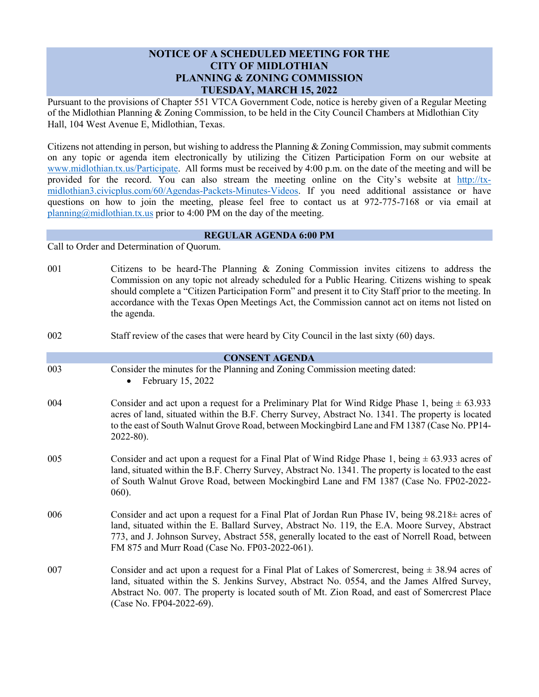## **NOTICE OF A SCHEDULED MEETING FOR THE CITY OF MIDLOTHIAN PLANNING & ZONING COMMISSION TUESDAY, MARCH 15, 2022**

Pursuant to the provisions of Chapter 551 VTCA Government Code, notice is hereby given of a Regular Meeting of the Midlothian Planning & Zoning Commission, to be held in the City Council Chambers at Midlothian City Hall, 104 West Avenue E, Midlothian, Texas.

Citizens not attending in person, but wishing to address the Planning & Zoning Commission, may submit comments on any topic or agenda item electronically by utilizing the Citizen Participation Form on our website at [www.midlothian.tx.us/Participate.](http://www.midlothian.tx.us/Participate) All forms must be received by 4:00 p.m. on the date of the meeting and will be provided for the record. You can also stream the meeting online on the City's website at [http://tx](http://tx-midlothian3.civicplus.com/60/Agendas-Packets-Minutes-Videos)[midlothian3.civicplus.com/60/Agendas-Packets-Minutes-Videos.](http://tx-midlothian3.civicplus.com/60/Agendas-Packets-Minutes-Videos) If you need additional assistance or have questions on how to join the meeting, please feel free to contact us at 972-775-7168 or via email at [planning@midlothian.tx.us](mailto:planning@midlothian.tx.us) prior to 4:00 PM on the day of the meeting.

## **REGULAR AGENDA 6:00 PM**

Call to Order and Determination of Quorum.

- 001 Citizens to be heard-The Planning & Zoning Commission invites citizens to address the Commission on any topic not already scheduled for a Public Hearing. Citizens wishing to speak should complete a "Citizen Participation Form" and present it to City Staff prior to the meeting. In accordance with the Texas Open Meetings Act, the Commission cannot act on items not listed on the agenda.
- 002 Staff review of the cases that were heard by City Council in the last sixty (60) days.

## **CONSENT AGENDA**

- 003 Consider the minutes for the Planning and Zoning Commission meeting dated:
	- February 15, 2022
- 004 Consider and act upon a request for a Preliminary Plat for Wind Ridge Phase 1, being  $\pm$  63.933 acres of land, situated within the B.F. Cherry Survey, Abstract No. 1341. The property is located to the east of South Walnut Grove Road, between Mockingbird Lane and FM 1387 (Case No. PP14- 2022-80).
- 005 Consider and act upon a request for a Final Plat of Wind Ridge Phase 1, being  $\pm$  63.933 acres of land, situated within the B.F. Cherry Survey, Abstract No. 1341. The property is located to the east of South Walnut Grove Road, between Mockingbird Lane and FM 1387 (Case No. FP02-2022- 060).
- 006 Consider and act upon a request for a Final Plat of Jordan Run Phase IV, being  $98.218 \pm$  acres of land, situated within the E. Ballard Survey, Abstract No. 119, the E.A. Moore Survey, Abstract 773, and J. Johnson Survey, Abstract 558, generally located to the east of Norrell Road, between FM 875 and Murr Road (Case No. FP03-2022-061).
- 007 Consider and act upon a request for a Final Plat of Lakes of Somercrest, being  $\pm$  38.94 acres of land, situated within the S. Jenkins Survey, Abstract No. 0554, and the James Alfred Survey, Abstract No. 007. The property is located south of Mt. Zion Road, and east of Somercrest Place (Case No. FP04-2022-69).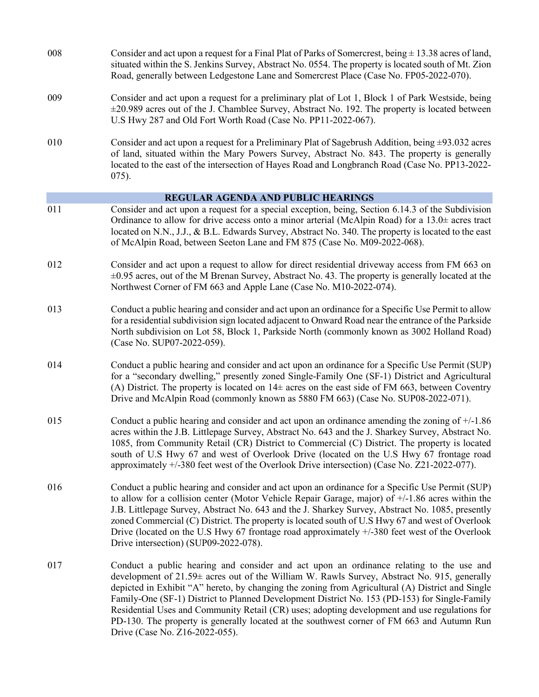| 008                                | Consider and act upon a request for a Final Plat of Parks of Somercrest, being $\pm$ 13.38 acres of land,<br>situated within the S. Jenkins Survey, Abstract No. 0554. The property is located south of Mt. Zion<br>Road, generally between Ledgestone Lane and Somercrest Place (Case No. FP05-2022-070).                                                                                                                                                                                                                                                                                                                   |
|------------------------------------|------------------------------------------------------------------------------------------------------------------------------------------------------------------------------------------------------------------------------------------------------------------------------------------------------------------------------------------------------------------------------------------------------------------------------------------------------------------------------------------------------------------------------------------------------------------------------------------------------------------------------|
| 009                                | Consider and act upon a request for a preliminary plat of Lot 1, Block 1 of Park Westside, being<br>$\pm$ 20.989 acres out of the J. Chamblee Survey, Abstract No. 192. The property is located between<br>U.S Hwy 287 and Old Fort Worth Road (Case No. PP11-2022-067).                                                                                                                                                                                                                                                                                                                                                     |
| 010                                | Consider and act upon a request for a Preliminary Plat of Sagebrush Addition, being $\pm 93.032$ acres<br>of land, situated within the Mary Powers Survey, Abstract No. 843. The property is generally<br>located to the east of the intersection of Hayes Road and Longbranch Road (Case No. PP13-2022-<br>$075$ ).                                                                                                                                                                                                                                                                                                         |
| REGULAR AGENDA AND PUBLIC HEARINGS |                                                                                                                                                                                                                                                                                                                                                                                                                                                                                                                                                                                                                              |
| 011                                | Consider and act upon a request for a special exception, being, Section 6.14.3 of the Subdivision<br>Ordinance to allow for drive access onto a minor arterial (McAlpin Road) for a $13.0\pm$ acres tract<br>located on N.N., J.J., & B.L. Edwards Survey, Abstract No. 340. The property is located to the east<br>of McAlpin Road, between Seeton Lane and FM 875 (Case No. M09-2022-068).                                                                                                                                                                                                                                 |
| 012                                | Consider and act upon a request to allow for direct residential driveway access from FM 663 on<br>$\pm 0.95$ acres, out of the M Brenan Survey, Abstract No. 43. The property is generally located at the<br>Northwest Corner of FM 663 and Apple Lane (Case No. M10-2022-074).                                                                                                                                                                                                                                                                                                                                              |
| 013                                | Conduct a public hearing and consider and act upon an ordinance for a Specific Use Permit to allow<br>for a residential subdivision sign located adjacent to Onward Road near the entrance of the Parkside<br>North subdivision on Lot 58, Block 1, Parkside North (commonly known as 3002 Holland Road)<br>(Case No. SUP07-2022-059).                                                                                                                                                                                                                                                                                       |
| 014                                | Conduct a public hearing and consider and act upon an ordinance for a Specific Use Permit (SUP)<br>for a "secondary dwelling," presently zoned Single-Family One (SF-1) District and Agricultural<br>(A) District. The property is located on $14\pm$ acres on the east side of FM 663, between Coventry<br>Drive and McAlpin Road (commonly known as 5880 FM 663) (Case No. SUP08-2022-071).                                                                                                                                                                                                                                |
| 015                                | Conduct a public hearing and consider and act upon an ordinance amending the zoning of $+/-1.86$<br>acres within the J.B. Littlepage Survey, Abstract No. 643 and the J. Sharkey Survey, Abstract No.<br>1085, from Community Retail (CR) District to Commercial (C) District. The property is located<br>south of U.S Hwy 67 and west of Overlook Drive (located on the U.S Hwy 67 frontage road<br>approximately +/-380 feet west of the Overlook Drive intersection) (Case No. Z21-2022-077).                                                                                                                             |
| 016                                | Conduct a public hearing and consider and act upon an ordinance for a Specific Use Permit (SUP)<br>to allow for a collision center (Motor Vehicle Repair Garage, major) of $+/-1.86$ acres within the<br>J.B. Littlepage Survey, Abstract No. 643 and the J. Sharkey Survey, Abstract No. 1085, presently<br>zoned Commercial (C) District. The property is located south of U.S Hwy 67 and west of Overlook<br>Drive (located on the U.S Hwy 67 frontage road approximately +/-380 feet west of the Overlook<br>Drive intersection) (SUP09-2022-078).                                                                       |
| 017                                | Conduct a public hearing and consider and act upon an ordinance relating to the use and<br>development of 21.59± acres out of the William W. Rawls Survey, Abstract No. 915, generally<br>depicted in Exhibit "A" hereto, by changing the zoning from Agricultural (A) District and Single<br>Family-One (SF-1) District to Planned Development District No. 153 (PD-153) for Single-Family<br>Residential Uses and Community Retail (CR) uses; adopting development and use regulations for<br>PD-130. The property is generally located at the southwest corner of FM 663 and Autumn Run<br>Drive (Case No. Z16-2022-055). |